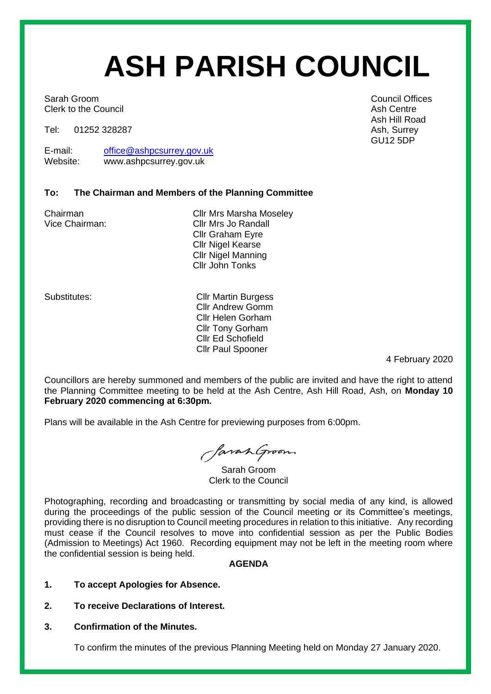# **ASH PARISH COUNCIL**

Sarah Groom **Council Offices** Sarah Groom **Council Offices** Clerk to the Council **Ash Centre** Ash Centre Ash Centre

Tel: 01252 328287 Ash, Surrey

E-mail: [office@ashpcsurrey.gov.uk](mailto:office@ashpcsurrey.gov.uk)<br>
Website: www.ashpcsurrey.gov.uk www.ashpcsurrey.gov.uk

## **To: The Chairman and Members of the Planning Committee**

Chairman Cllr Mrs Marsha Moseley Vice Chairman: Cllr Mrs Jo Randall Cllr Graham Eyre Cllr Nigel Kearse Cllr Nigel Manning Cllr John Tonks

Substitutes: Cllr Martin Burgess Cllr Andrew Gomm Cllr Helen Gorham Cllr Tony Gorham Cllr Ed Schofield Cllr Paul Spooner

4 February 2020

Councillors are hereby summoned and members of the public are invited and have the right to attend the Planning Committee meeting to be held at the Ash Centre, Ash Hill Road, Ash, on **Monday 10 February 2020 commencing at 6:30pm.** 

Plans will be available in the Ash Centre for previewing purposes from 6:00pm.

SavanGroom

Sarah Groom Clerk to the Council

Photographing, recording and broadcasting or transmitting by social media of any kind, is allowed during the proceedings of the public session of the Council meeting or its Committee's meetings, providing there is no disruption to Council meeting procedures in relation to this initiative. Any recording must cease if the Council resolves to move into confidential session as per the Public Bodies (Admission to Meetings) Act 1960. Recording equipment may not be left in the meeting room where the confidential session is being held.

## **AGENDA**

- **1. To accept Apologies for Absence.**
- **2. To receive Declarations of Interest.**
- **3. Confirmation of the Minutes.**

To confirm the minutes of the previous Planning Meeting held on Monday 27 January 2020.

Ash Hill Road GU12 5DP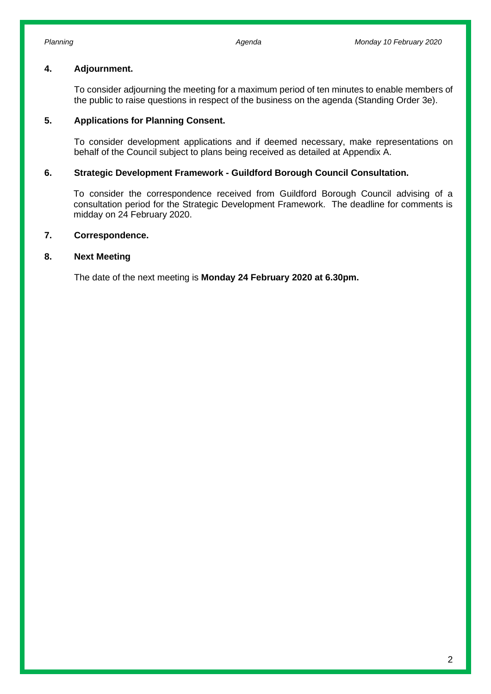### **4. Adjournment.**

To consider adjourning the meeting for a maximum period of ten minutes to enable members of the public to raise questions in respect of the business on the agenda (Standing Order 3e).

#### **5. Applications for Planning Consent.**

To consider development applications and if deemed necessary, make representations on behalf of the Council subject to plans being received as detailed at Appendix A.

#### **6. Strategic Development Framework - Guildford Borough Council Consultation.**

To consider the correspondence received from Guildford Borough Council advising of a consultation period for the Strategic Development Framework. The deadline for comments is midday on 24 February 2020.

### **7. Correspondence.**

#### **8. Next Meeting**

The date of the next meeting is **Monday 24 February 2020 at 6.30pm.**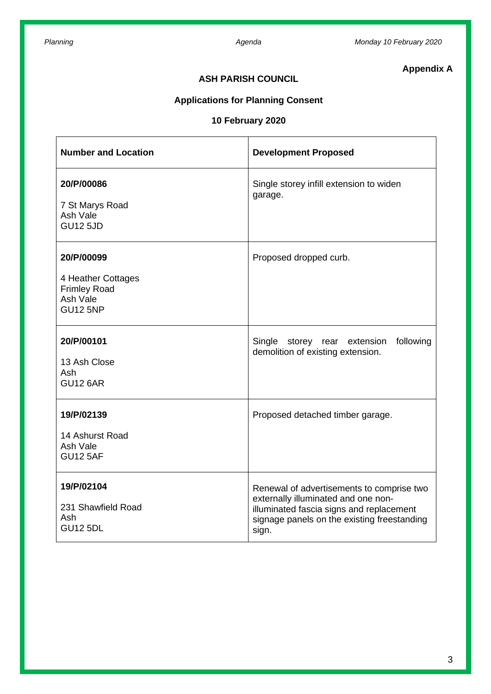# **Appendix A**

## **ASH PARISH COUNCIL**

# **Applications for Planning Consent**

## **10 February 2020**

| <b>Number and Location</b>                                                             | <b>Development Proposed</b>                                                                                                                                                          |
|----------------------------------------------------------------------------------------|--------------------------------------------------------------------------------------------------------------------------------------------------------------------------------------|
| 20/P/00086<br>7 St Marys Road<br>Ash Vale<br><b>GU12 5JD</b>                           | Single storey infill extension to widen<br>garage.                                                                                                                                   |
| 20/P/00099<br>4 Heather Cottages<br><b>Frimley Road</b><br>Ash Vale<br><b>GU12 5NP</b> | Proposed dropped curb.                                                                                                                                                               |
| 20/P/00101<br>13 Ash Close<br>Ash<br><b>GU12 6AR</b>                                   | Single storey rear extension<br>following<br>demolition of existing extension.                                                                                                       |
| 19/P/02139<br>14 Ashurst Road<br>Ash Vale<br><b>GU12 5AF</b>                           | Proposed detached timber garage.                                                                                                                                                     |
| 19/P/02104<br>231 Shawfield Road<br>Ash<br><b>GU12 5DL</b>                             | Renewal of advertisements to comprise two<br>externally illuminated and one non-<br>illuminated fascia signs and replacement<br>signage panels on the existing freestanding<br>sign. |